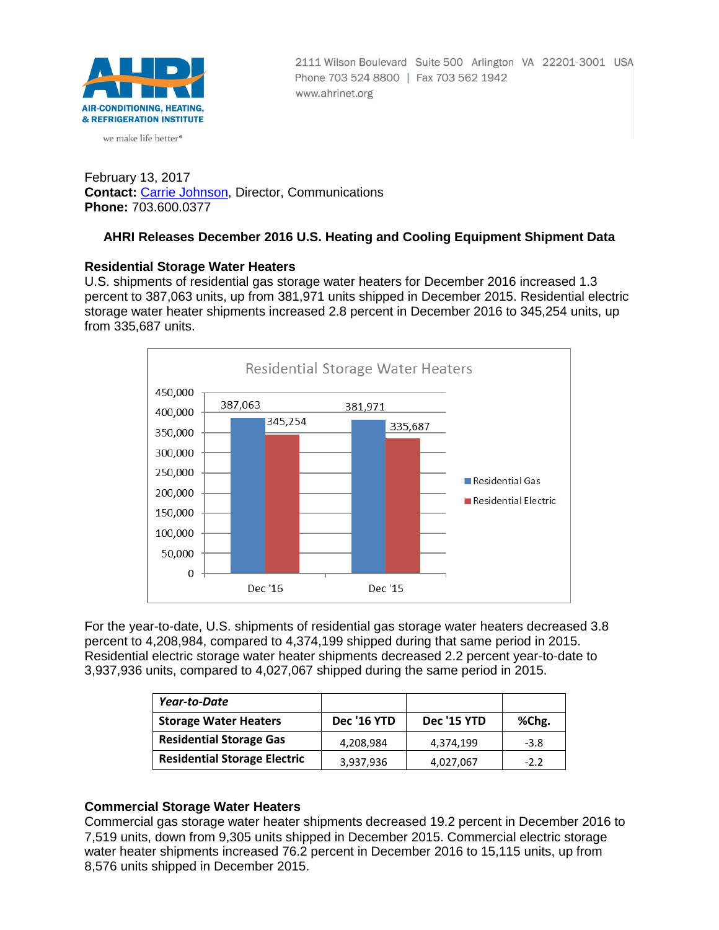

we make life better<sup>®</sup>

2111 Wilson Boulevard Suite 500 Arlington VA 22201-3001 USA Phone 703 524 8800 | Fax 703 562 1942 www.ahrinet.org

February 13, 2017 **Contact:** [Carrie Johnson,](mailto:cjohnson@ahrinet.org) Director, Communications **Phone:** 703.600.0377

# **AHRI Releases December 2016 U.S. Heating and Cooling Equipment Shipment Data**

#### **Residential Storage Water Heaters**

U.S. shipments of residential gas storage water heaters for December 2016 increased 1.3 percent to 387,063 units, up from 381,971 units shipped in December 2015. Residential electric storage water heater shipments increased 2.8 percent in December 2016 to 345,254 units, up from 335,687 units.



For the year-to-date, U.S. shipments of residential gas storage water heaters decreased 3.8 percent to 4,208,984, compared to 4,374,199 shipped during that same period in 2015. Residential electric storage water heater shipments decreased 2.2 percent year-to-date to 3,937,936 units, compared to 4,027,067 shipped during the same period in 2015.

| Year-to-Date                        |             |             |        |
|-------------------------------------|-------------|-------------|--------|
| <b>Storage Water Heaters</b>        | Dec '16 YTD | Dec '15 YTD | %Chg.  |
| <b>Residential Storage Gas</b>      | 4,208,984   | 4,374,199   | $-3.8$ |
| <b>Residential Storage Electric</b> | 3,937,936   | 4,027,067   | $-2.2$ |

### **Commercial Storage Water Heaters**

Commercial gas storage water heater shipments decreased 19.2 percent in December 2016 to 7,519 units, down from 9,305 units shipped in December 2015. Commercial electric storage water heater shipments increased 76.2 percent in December 2016 to 15,115 units, up from 8,576 units shipped in December 2015.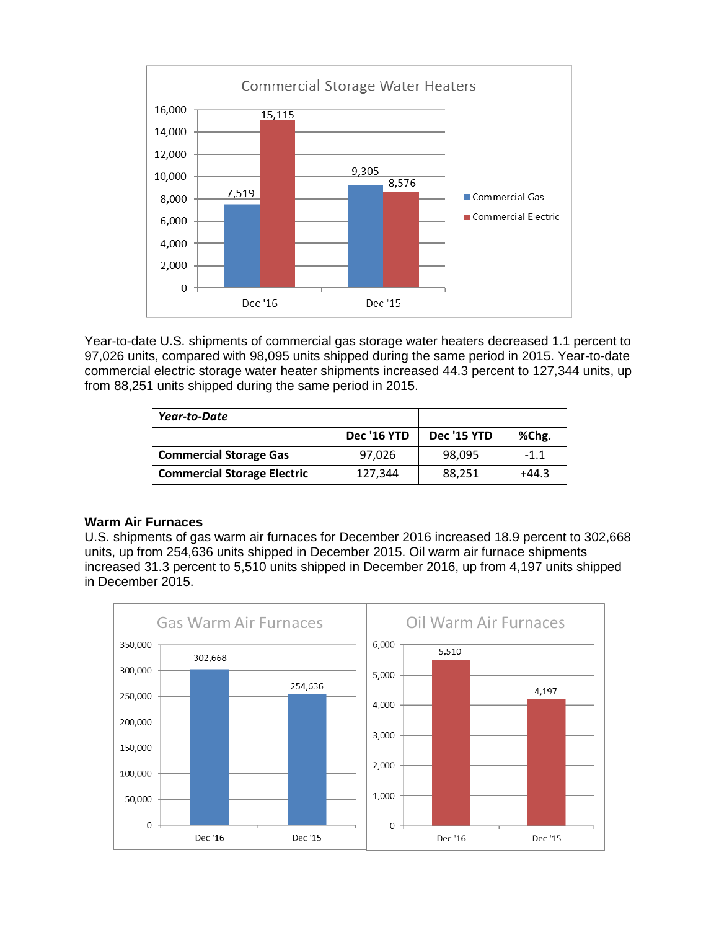

Year-to-date U.S. shipments of commercial gas storage water heaters decreased 1.1 percent to 97,026 units, compared with 98,095 units shipped during the same period in 2015. Year-to-date commercial electric storage water heater shipments increased 44.3 percent to 127,344 units, up from 88,251 units shipped during the same period in 2015.

| Year-to-Date                       |                    |                    |         |
|------------------------------------|--------------------|--------------------|---------|
|                                    | <b>Dec '16 YTD</b> | <b>Dec '15 YTD</b> | %Chg.   |
| <b>Commercial Storage Gas</b>      | 97.026             | 98.095             | $-1.1$  |
| <b>Commercial Storage Electric</b> | 127.344            | 88,251             | $+44.3$ |

### **Warm Air Furnaces**

U.S. shipments of gas warm air furnaces for December 2016 increased 18.9 percent to 302,668 units, up from 254,636 units shipped in December 2015. Oil warm air furnace shipments increased 31.3 percent to 5,510 units shipped in December 2016, up from 4,197 units shipped in December 2015.

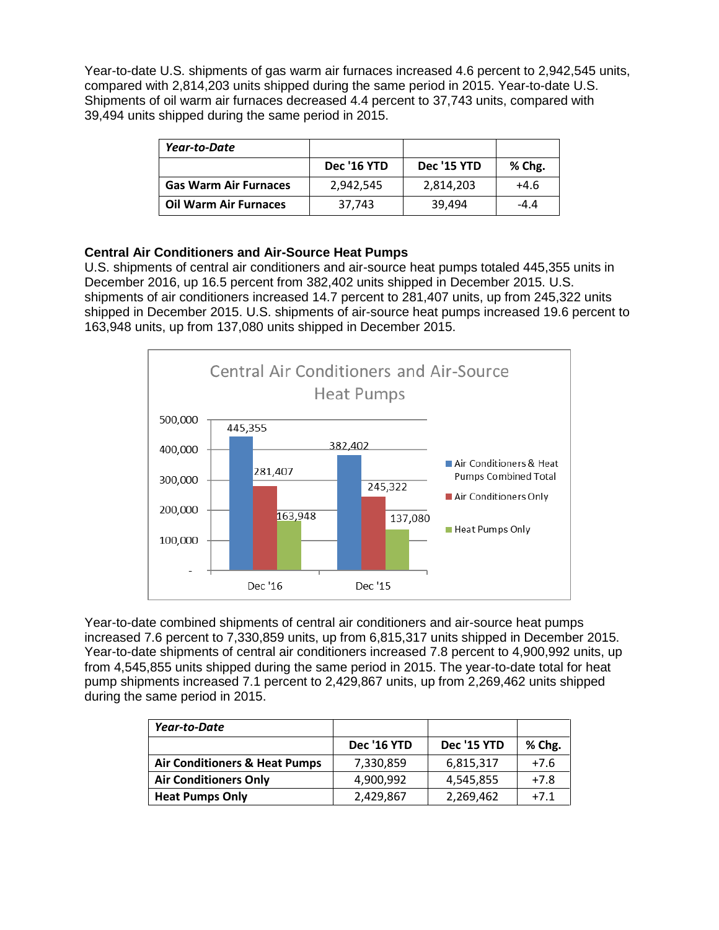Year-to-date U.S. shipments of gas warm air furnaces increased 4.6 percent to 2,942,545 units, compared with 2,814,203 units shipped during the same period in 2015. Year-to-date U.S. Shipments of oil warm air furnaces decreased 4.4 percent to 37,743 units, compared with 39,494 units shipped during the same period in 2015.

| Year-to-Date                 |                    |             |        |
|------------------------------|--------------------|-------------|--------|
|                              | <b>Dec '16 YTD</b> | Dec '15 YTD | % Chg. |
| <b>Gas Warm Air Furnaces</b> | 2,942,545          | 2,814,203   | $+4.6$ |
| <b>Oil Warm Air Furnaces</b> | 37.743             | 39.494      | $-4.4$ |

# **Central Air Conditioners and Air-Source Heat Pumps**

U.S. shipments of central air conditioners and air-source heat pumps totaled 445,355 units in December 2016, up 16.5 percent from 382,402 units shipped in December 2015. U.S. shipments of air conditioners increased 14.7 percent to 281,407 units, up from 245,322 units shipped in December 2015. U.S. shipments of air-source heat pumps increased 19.6 percent to 163,948 units, up from 137,080 units shipped in December 2015.



Year-to-date combined shipments of central air conditioners and air-source heat pumps increased 7.6 percent to 7,330,859 units, up from 6,815,317 units shipped in December 2015. Year-to-date shipments of central air conditioners increased 7.8 percent to 4,900,992 units, up from 4,545,855 units shipped during the same period in 2015. The year-to-date total for heat pump shipments increased 7.1 percent to 2,429,867 units, up from 2,269,462 units shipped during the same period in 2015.

| Year-to-Date                             |                    |             |        |
|------------------------------------------|--------------------|-------------|--------|
|                                          | <b>Dec '16 YTD</b> | Dec '15 YTD | % Chg. |
| <b>Air Conditioners &amp; Heat Pumps</b> | 7,330,859          | 6,815,317   | $+7.6$ |
| <b>Air Conditioners Only</b>             | 4,900,992          | 4,545,855   | $+7.8$ |
| <b>Heat Pumps Only</b>                   | 2,429,867          | 2,269,462   | $+7.1$ |